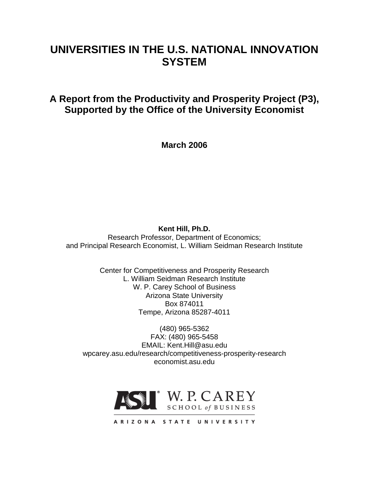# **UNIVERSITIES IN THE U.S. NATIONAL INNOVATION SYSTEM**

# **A Report from the Productivity and Prosperity Project (P3), Supported by the Office of the University Economist**

**March 2006**

**Kent Hill, Ph.D.**

Research Professor, Department of Economics; and Principal Research Economist, L. William Seidman Research Institute

> Center for Competitiveness and Prosperity Research L. William Seidman Research Institute W. P. Carey School of Business Arizona State University Box 874011 Tempe, Arizona 85287-4011

(480) 965-5362 FAX: (480) 965-5458 EMAIL: Kent.Hill@asu.edu wpcarey.asu.edu/research/competitiveness-prosperity-research economist.asu.edu



ARIZONA STATE UNIVERSITY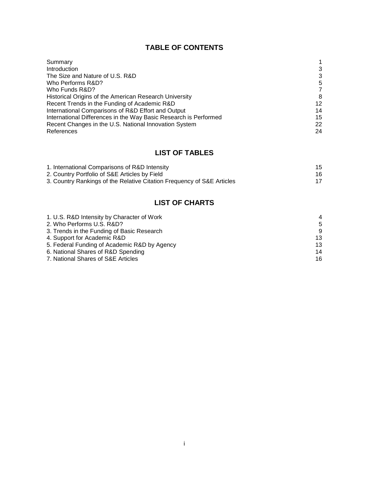## **TABLE OF CONTENTS**

| Summary                                                          |    |
|------------------------------------------------------------------|----|
| Introduction                                                     | 3  |
| The Size and Nature of U.S. R&D                                  | 3  |
| Who Performs R&D?                                                | 5  |
| Who Funds R&D?                                                   | 7  |
| Historical Origins of the American Research University           | 8  |
| Recent Trends in the Funding of Academic R&D                     | 12 |
| International Comparisons of R&D Effort and Output               | 14 |
| International Differences in the Way Basic Research is Performed | 15 |
| Recent Changes in the U.S. National Innovation System            | 22 |
| References                                                       | 24 |

## **LIST OF TABLES**

| 1. International Comparisons of R&D Intensity                          | 15 |
|------------------------------------------------------------------------|----|
| 2. Country Portfolio of S&E Articles by Field                          | 16 |
| 3. Country Rankings of the Relative Citation Frequency of S&E Articles |    |

# **LIST OF CHARTS**

| 1. U.S. R&D Intensity by Character of Work   | $\overline{4}$ |
|----------------------------------------------|----------------|
| 2. Who Performs U.S. R&D?                    | -5             |
| 3. Trends in the Funding of Basic Research   | 9              |
| 4. Support for Academic R&D                  | 13             |
| 5. Federal Funding of Academic R&D by Agency | 13             |
| 6. National Shares of R&D Spending           | 14             |
| 7. National Shares of S&E Articles           | 16             |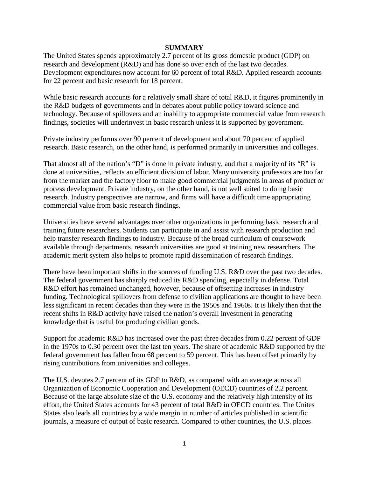#### **SUMMARY**

The United States spends approximately 2.7 percent of its gross domestic product (GDP) on research and development (R&D) and has done so over each of the last two decades. Development expenditures now account for 60 percent of total R&D. Applied research accounts for 22 percent and basic research for 18 percent.

While basic research accounts for a relatively small share of total R&D, it figures prominently in the R&D budgets of governments and in debates about public policy toward science and technology. Because of spillovers and an inability to appropriate commercial value from research findings, societies will underinvest in basic research unless it is supported by government.

Private industry performs over 90 percent of development and about 70 percent of applied research. Basic research, on the other hand, is performed primarily in universities and colleges.

That almost all of the nation's "D" is done in private industry, and that a majority of its "R" is done at universities, reflects an efficient division of labor. Many university professors are too far from the market and the factory floor to make good commercial judgments in areas of product or process development. Private industry, on the other hand, is not well suited to doing basic research. Industry perspectives are narrow, and firms will have a difficult time appropriating commercial value from basic research findings.

Universities have several advantages over other organizations in performing basic research and training future researchers. Students can participate in and assist with research production and help transfer research findings to industry. Because of the broad curriculum of coursework available through departments, research universities are good at training new researchers. The academic merit system also helps to promote rapid dissemination of research findings.

There have been important shifts in the sources of funding U.S. R&D over the past two decades. The federal government has sharply reduced its R&D spending, especially in defense. Total R&D effort has remained unchanged, however, because of offsetting increases in industry funding. Technological spillovers from defense to civilian applications are thought to have been less significant in recent decades than they were in the 1950s and 1960s. It is likely then that the recent shifts in R&D activity have raised the nation's overall investment in generating knowledge that is useful for producing civilian goods.

Support for academic R&D has increased over the past three decades from 0.22 percent of GDP in the 1970s to 0.30 percent over the last ten years. The share of academic R&D supported by the federal government has fallen from 68 percent to 59 percent. This has been offset primarily by rising contributions from universities and colleges.

The U.S. devotes 2.7 percent of its GDP to R&D, as compared with an average across all Organization of Economic Cooperation and Development (OECD) countries of 2.2 percent. Because of the large absolute size of the U.S. economy and the relatively high intensity of its effort, the United States accounts for 43 percent of total R&D in OECD countries. The Unites States also leads all countries by a wide margin in number of articles published in scientific journals, a measure of output of basic research. Compared to other countries, the U.S. places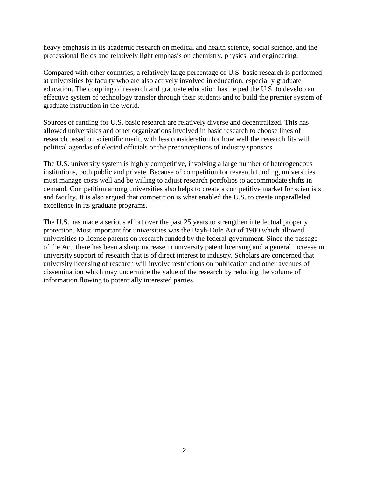heavy emphasis in its academic research on medical and health science, social science, and the professional fields and relatively light emphasis on chemistry, physics, and engineering.

Compared with other countries, a relatively large percentage of U.S. basic research is performed at universities by faculty who are also actively involved in education, especially graduate education. The coupling of research and graduate education has helped the U.S. to develop an effective system of technology transfer through their students and to build the premier system of graduate instruction in the world.

Sources of funding for U.S. basic research are relatively diverse and decentralized. This has allowed universities and other organizations involved in basic research to choose lines of research based on scientific merit, with less consideration for how well the research fits with political agendas of elected officials or the preconceptions of industry sponsors.

The U.S. university system is highly competitive, involving a large number of heterogeneous institutions, both public and private. Because of competition for research funding, universities must manage costs well and be willing to adjust research portfolios to accommodate shifts in demand. Competition among universities also helps to create a competitive market for scientists and faculty. It is also argued that competition is what enabled the U.S. to create unparalleled excellence in its graduate programs.

The U.S. has made a serious effort over the past 25 years to strengthen intellectual property protection. Most important for universities was the Bayh-Dole Act of 1980 which allowed universities to license patents on research funded by the federal government. Since the passage of the Act, there has been a sharp increase in university patent licensing and a general increase in university support of research that is of direct interest to industry. Scholars are concerned that university licensing of research will involve restrictions on publication and other avenues of dissemination which may undermine the value of the research by reducing the volume of information flowing to potentially interested parties.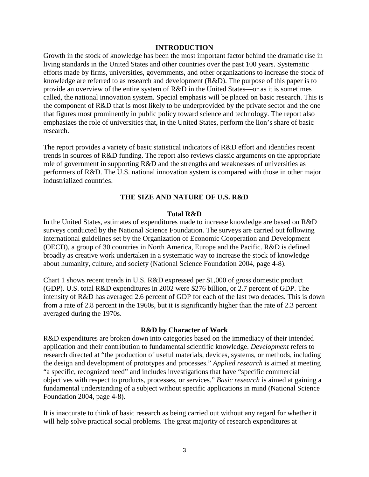#### **INTRODUCTION**

Growth in the stock of knowledge has been the most important factor behind the dramatic rise in living standards in the United States and other countries over the past 100 years. Systematic efforts made by firms, universities, governments, and other organizations to increase the stock of knowledge are referred to as research and development (R&D). The purpose of this paper is to provide an overview of the entire system of R&D in the United States—or as it is sometimes called, the national innovation system. Special emphasis will be placed on basic research. This is the component of R&D that is most likely to be underprovided by the private sector and the one that figures most prominently in public policy toward science and technology. The report also emphasizes the role of universities that, in the United States, perform the lion's share of basic research.

The report provides a variety of basic statistical indicators of R&D effort and identifies recent trends in sources of R&D funding. The report also reviews classic arguments on the appropriate role of government in supporting R&D and the strengths and weaknesses of universities as performers of R&D. The U.S. national innovation system is compared with those in other major industrialized countries.

#### **THE SIZE AND NATURE OF U.S. R&D**

#### **Total R&D**

In the United States, estimates of expenditures made to increase knowledge are based on R&D surveys conducted by the National Science Foundation. The surveys are carried out following international guidelines set by the Organization of Economic Cooperation and Development (OECD), a group of 30 countries in North America, Europe and the Pacific. R&D is defined broadly as creative work undertaken in a systematic way to increase the stock of knowledge about humanity, culture, and society (National Science Foundation 2004, page 4-8).

Chart 1 shows recent trends in U.S. R&D expressed per \$1,000 of gross domestic product (GDP). U.S. total R&D expenditures in 2002 were \$276 billion, or 2.7 percent of GDP. The intensity of R&D has averaged 2.6 percent of GDP for each of the last two decades. This is down from a rate of 2.8 percent in the 1960s, but it is significantly higher than the rate of 2.3 percent averaged during the 1970s.

#### **R&D by Character of Work**

R&D expenditures are broken down into categories based on the immediacy of their intended application and their contribution to fundamental scientific knowledge. *Development* refers to research directed at "the production of useful materials, devices, systems, or methods, including the design and development of prototypes and processes." *Applied research* is aimed at meeting "a specific, recognized need" and includes investigations that have "specific commercial objectives with respect to products, processes, or services." *Basic research* is aimed at gaining a fundamental understanding of a subject without specific applications in mind (National Science Foundation 2004, page 4-8).

It is inaccurate to think of basic research as being carried out without any regard for whether it will help solve practical social problems. The great majority of research expenditures at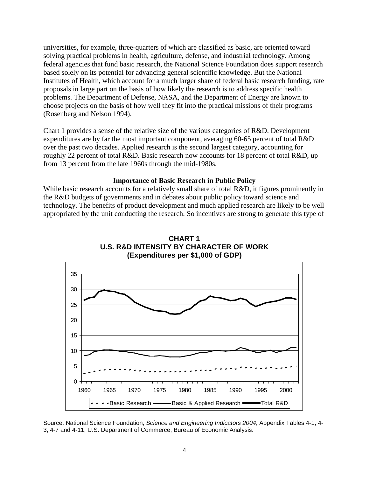universities, for example, three-quarters of which are classified as basic, are oriented toward solving practical problems in health, agriculture, defense, and industrial technology. Among federal agencies that fund basic research, the National Science Foundation does support research based solely on its potential for advancing general scientific knowledge. But the National Institutes of Health, which account for a much larger share of federal basic research funding, rate proposals in large part on the basis of how likely the research is to address specific health problems. The Department of Defense, NASA, and the Department of Energy are known to choose projects on the basis of how well they fit into the practical missions of their programs (Rosenberg and Nelson 1994).

Chart 1 provides a sense of the relative size of the various categories of R&D. Development expenditures are by far the most important component, averaging 60-65 percent of total R&D over the past two decades. Applied research is the second largest category, accounting for roughly 22 percent of total R&D. Basic research now accounts for 18 percent of total R&D, up from 13 percent from the late 1960s through the mid-1980s.

#### **Importance of Basic Research in Public Policy**

While basic research accounts for a relatively small share of total R&D, it figures prominently in the R&D budgets of governments and in debates about public policy toward science and technology. The benefits of product development and much applied research are likely to be well appropriated by the unit conducting the research. So incentives are strong to generate this type of





Source: National Science Foundation, *Science and Engineering Indicators 2004*, Appendix Tables 4-1, 4- 3, 4-7 and 4-11; U.S. Department of Commerce, Bureau of Economic Analysis.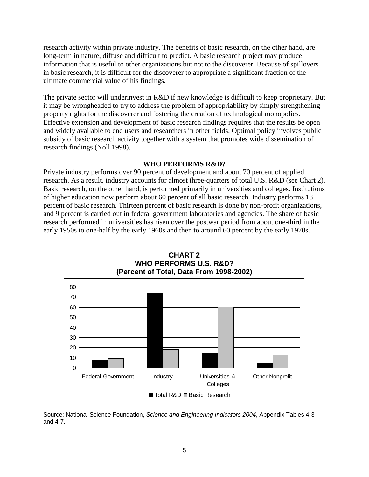research activity within private industry. The benefits of basic research, on the other hand, are long-term in nature, diffuse and difficult to predict. A basic research project may produce information that is useful to other organizations but not to the discoverer. Because of spillovers in basic research, it is difficult for the discoverer to appropriate a significant fraction of the ultimate commercial value of his findings.

The private sector will underinvest in R&D if new knowledge is difficult to keep proprietary. But it may be wrongheaded to try to address the problem of appropriability by simply strengthening property rights for the discoverer and fostering the creation of technological monopolies. Effective extension and development of basic research findings requires that the results be open and widely available to end users and researchers in other fields. Optimal policy involves public subsidy of basic research activity together with a system that promotes wide dissemination of research findings (Noll 1998).

## **WHO PERFORMS R&D?**

Private industry performs over 90 percent of development and about 70 percent of applied research. As a result, industry accounts for almost three-quarters of total U.S. R&D (see Chart 2). Basic research, on the other hand, is performed primarily in universities and colleges. Institutions of higher education now perform about 60 percent of all basic research. Industry performs 18 percent of basic research. Thirteen percent of basic research is done by non-profit organizations, and 9 percent is carried out in federal government laboratories and agencies. The share of basic research performed in universities has risen over the postwar period from about one-third in the early 1950s to one-half by the early 1960s and then to around 60 percent by the early 1970s.



**CHART 2 WHO PERFORMS U.S. R&D? (Percent of Total, Data From 1998-2002)**

Source: National Science Foundation, *Science and Engineering Indicators 2004*, Appendix Tables 4-3 and 4-7.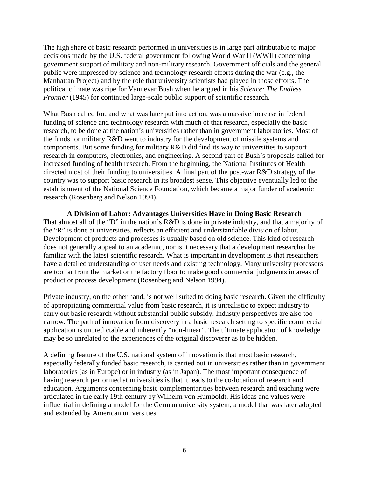The high share of basic research performed in universities is in large part attributable to major decisions made by the U.S. federal government following World War II (WWII) concerning government support of military and non-military research. Government officials and the general public were impressed by science and technology research efforts during the war (e.g., the Manhattan Project) and by the role that university scientists had played in those efforts. The political climate was ripe for Vannevar Bush when he argued in his *Science: The Endless Frontier* (1945) for continued large-scale public support of scientific research.

What Bush called for, and what was later put into action, was a massive increase in federal funding of science and technology research with much of that research, especially the basic research, to be done at the nation's universities rather than in government laboratories. Most of the funds for military R&D went to industry for the development of missile systems and components. But some funding for military R&D did find its way to universities to support research in computers, electronics, and engineering. A second part of Bush's proposals called for increased funding of health research. From the beginning, the National Institutes of Health directed most of their funding to universities. A final part of the post-war R&D strategy of the country was to support basic research in its broadest sense. This objective eventually led to the establishment of the National Science Foundation, which became a major funder of academic research (Rosenberg and Nelson 1994).

**A Division of Labor: Advantages Universities Have in Doing Basic Research** That almost all of the "D" in the nation's R&D is done in private industry, and that a majority of the "R" is done at universities, reflects an efficient and understandable division of labor. Development of products and processes is usually based on old science. This kind of research does not generally appeal to an academic, nor is it necessary that a development researcher be familiar with the latest scientific research. What is important in development is that researchers have a detailed understanding of user needs and existing technology. Many university professors are too far from the market or the factory floor to make good commercial judgments in areas of product or process development (Rosenberg and Nelson 1994).

Private industry, on the other hand, is not well suited to doing basic research. Given the difficulty of appropriating commercial value from basic research, it is unrealistic to expect industry to carry out basic research without substantial public subsidy. Industry perspectives are also too narrow. The path of innovation from discovery in a basic research setting to specific commercial application is unpredictable and inherently "non-linear". The ultimate application of knowledge may be so unrelated to the experiences of the original discoverer as to be hidden.

A defining feature of the U.S. national system of innovation is that most basic research, especially federally funded basic research, is carried out in universities rather than in government laboratories (as in Europe) or in industry (as in Japan). The most important consequence of having research performed at universities is that it leads to the co-location of research and education. Arguments concerning basic complementarities between research and teaching were articulated in the early 19th century by Wilhelm von Humboldt. His ideas and values were influential in defining a model for the German university system, a model that was later adopted and extended by American universities.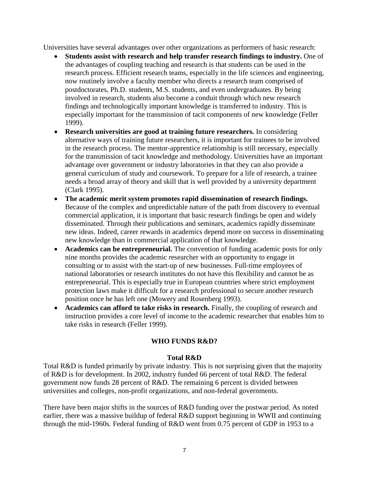Universities have several advantages over other organizations as performers of basic research:

- **Students assist with research and help transfer research findings to industry.** One of the advantages of coupling teaching and research is that students can be used in the research process. Efficient research teams, especially in the life sciences and engineering, now routinely involve a faculty member who directs a research team comprised of postdoctorates, Ph.D. students, M.S. students, and even undergraduates. By being involved in research, students also become a conduit through which new research findings and technologically important knowledge is transferred to industry. This is especially important for the transmission of tacit components of new knowledge (Feller 1999).
- **Research universities are good at training future researchers.** In considering alternative ways of training future researchers, it is important for trainees to be involved in the research process. The mentor-apprentice relationship is still necessary, especially for the transmission of tacit knowledge and methodology. Universities have an important advantage over government or industry laboratories in that they can also provide a general curriculum of study and coursework. To prepare for a life of research, a trainee needs a broad array of theory and skill that is well provided by a university department (Clark 1995).
- **The academic merit system promotes rapid dissemination of research findings.** Because of the complex and unpredictable nature of the path from discovery to eventual commercial application, it is important that basic research findings be open and widely disseminated. Through their publications and seminars, academics rapidly disseminate new ideas. Indeed, career rewards in academics depend more on success in disseminating new knowledge than in commercial application of that knowledge.
- **Academics can be entrepreneurial.** The convention of funding academic posts for only nine months provides the academic researcher with an opportunity to engage in consulting or to assist with the start-up of new businesses. Full-time employees of national laboratories or research institutes do not have this flexibility and cannot be as entrepreneurial. This is especially true in European countries where strict employment protection laws make it difficult for a research professional to secure another research position once he has left one (Mowery and Rosenberg 1993).
- **Academics can afford to take risks in research.** Finally, the coupling of research and instruction provides a core level of income to the academic researcher that enables him to take risks in research (Feller 1999).

## **WHO FUNDS R&D?**

## **Total R&D**

Total R&D is funded primarily by private industry. This is not surprising given that the majority of R&D is for development. In 2002, industry funded 66 percent of total R&D. The federal government now funds 28 percent of R&D. The remaining 6 percent is divided between universities and colleges, non-profit organizations, and non-federal governments.

There have been major shifts in the sources of R&D funding over the postwar period. As noted earlier, there was a massive buildup of federal R&D support beginning in WWII and continuing through the mid-1960s. Federal funding of R&D went from 0.75 percent of GDP in 1953 to a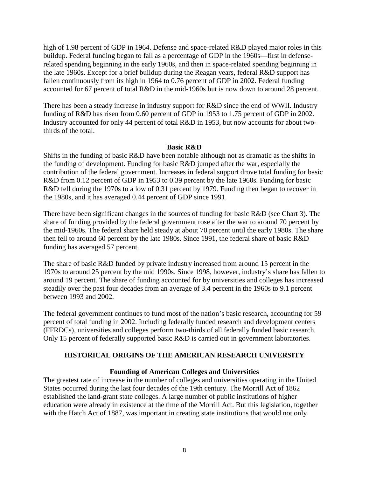high of 1.98 percent of GDP in 1964. Defense and space-related R&D played major roles in this buildup. Federal funding began to fall as a percentage of GDP in the 1960s—first in defenserelated spending beginning in the early 1960s, and then in space-related spending beginning in the late 1960s. Except for a brief buildup during the Reagan years, federal R&D support has fallen continuously from its high in 1964 to 0.76 percent of GDP in 2002. Federal funding accounted for 67 percent of total R&D in the mid-1960s but is now down to around 28 percent.

There has been a steady increase in industry support for R&D since the end of WWII. Industry funding of R&D has risen from 0.60 percent of GDP in 1953 to 1.75 percent of GDP in 2002. Industry accounted for only 44 percent of total R&D in 1953, but now accounts for about twothirds of the total.

#### **Basic R&D**

Shifts in the funding of basic R&D have been notable although not as dramatic as the shifts in the funding of development. Funding for basic R&D jumped after the war, especially the contribution of the federal government. Increases in federal support drove total funding for basic R&D from 0.12 percent of GDP in 1953 to 0.39 percent by the late 1960s. Funding for basic R&D fell during the 1970s to a low of 0.31 percent by 1979. Funding then began to recover in the 1980s, and it has averaged 0.44 percent of GDP since 1991.

There have been significant changes in the sources of funding for basic R&D (see Chart 3). The share of funding provided by the federal government rose after the war to around 70 percent by the mid-1960s. The federal share held steady at about 70 percent until the early 1980s. The share then fell to around 60 percent by the late 1980s. Since 1991, the federal share of basic R&D funding has averaged 57 percent.

The share of basic R&D funded by private industry increased from around 15 percent in the 1970s to around 25 percent by the mid 1990s. Since 1998, however, industry's share has fallen to around 19 percent. The share of funding accounted for by universities and colleges has increased steadily over the past four decades from an average of 3.4 percent in the 1960s to 9.1 percent between 1993 and 2002.

The federal government continues to fund most of the nation's basic research, accounting for 59 percent of total funding in 2002. Including federally funded research and development centers (FFRDCs), universities and colleges perform two-thirds of all federally funded basic research. Only 15 percent of federally supported basic R&D is carried out in government laboratories.

## **HISTORICAL ORIGINS OF THE AMERICAN RESEARCH UNIVERSITY**

## **Founding of American Colleges and Universities**

The greatest rate of increase in the number of colleges and universities operating in the United States occurred during the last four decades of the 19th century. The Morrill Act of 1862 established the land-grant state colleges. A large number of public institutions of higher education were already in existence at the time of the Morrill Act. But this legislation, together with the Hatch Act of 1887, was important in creating state institutions that would not only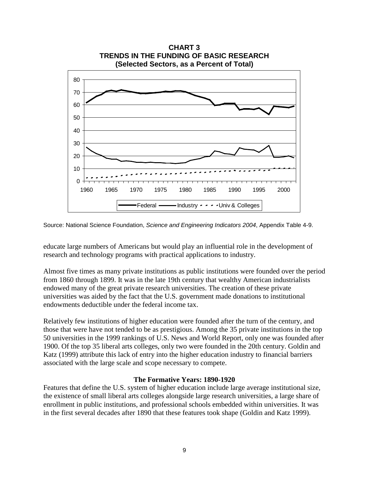

Source: National Science Foundation, *Science and Engineering Indicators 2004*, Appendix Table 4-9.

educate large numbers of Americans but would play an influential role in the development of research and technology programs with practical applications to industry.

Almost five times as many private institutions as public institutions were founded over the period from 1860 through 1899. It was in the late 19th century that wealthy American industrialists endowed many of the great private research universities. The creation of these private universities was aided by the fact that the U.S. government made donations to institutional endowments deductible under the federal income tax.

Relatively few institutions of higher education were founded after the turn of the century, and those that were have not tended to be as prestigious. Among the 35 private institutions in the top 50 universities in the 1999 rankings of U.S. News and World Report, only one was founded after 1900. Of the top 35 liberal arts colleges, only two were founded in the 20th century. Goldin and Katz (1999) attribute this lack of entry into the higher education industry to financial barriers associated with the large scale and scope necessary to compete.

## **The Formative Years: 1890-1920**

Features that define the U.S. system of higher education include large average institutional size, the existence of small liberal arts colleges alongside large research universities, a large share of enrollment in public institutions, and professional schools embedded within universities. It was in the first several decades after 1890 that these features took shape (Goldin and Katz 1999).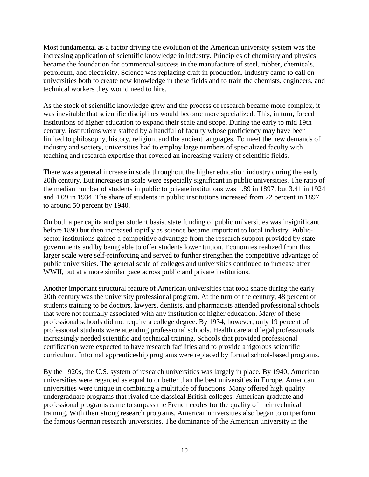Most fundamental as a factor driving the evolution of the American university system was the increasing application of scientific knowledge in industry. Principles of chemistry and physics became the foundation for commercial success in the manufacture of steel, rubber, chemicals, petroleum, and electricity. Science was replacing craft in production. Industry came to call on universities both to create new knowledge in these fields and to train the chemists, engineers, and technical workers they would need to hire.

As the stock of scientific knowledge grew and the process of research became more complex, it was inevitable that scientific disciplines would become more specialized. This, in turn, forced institutions of higher education to expand their scale and scope. During the early to mid 19th century, institutions were staffed by a handful of faculty whose proficiency may have been limited to philosophy, history, religion, and the ancient languages. To meet the new demands of industry and society, universities had to employ large numbers of specialized faculty with teaching and research expertise that covered an increasing variety of scientific fields.

There was a general increase in scale throughout the higher education industry during the early 20th century. But increases in scale were especially significant in public universities. The ratio of the median number of students in public to private institutions was 1.89 in 1897, but 3.41 in 1924 and 4.09 in 1934. The share of students in public institutions increased from 22 percent in 1897 to around 50 percent by 1940.

On both a per capita and per student basis, state funding of public universities was insignificant before 1890 but then increased rapidly as science became important to local industry. Publicsector institutions gained a competitive advantage from the research support provided by state governments and by being able to offer students lower tuition. Economies realized from this larger scale were self-reinforcing and served to further strengthen the competitive advantage of public universities. The general scale of colleges and universities continued to increase after WWII, but at a more similar pace across public and private institutions.

Another important structural feature of American universities that took shape during the early 20th century was the university professional program. At the turn of the century, 48 percent of students training to be doctors, lawyers, dentists, and pharmacists attended professional schools that were not formally associated with any institution of higher education. Many of these professional schools did not require a college degree. By 1934, however, only 19 percent of professional students were attending professional schools. Health care and legal professionals increasingly needed scientific and technical training. Schools that provided professional certification were expected to have research facilities and to provide a rigorous scientific curriculum. Informal apprenticeship programs were replaced by formal school-based programs.

By the 1920s, the U.S. system of research universities was largely in place. By 1940, American universities were regarded as equal to or better than the best universities in Europe. American universities were unique in combining a multitude of functions. Many offered high quality undergraduate programs that rivaled the classical British colleges. American graduate and professional programs came to surpass the French ecoles for the quality of their technical training. With their strong research programs, American universities also began to outperform the famous German research universities. The dominance of the American university in the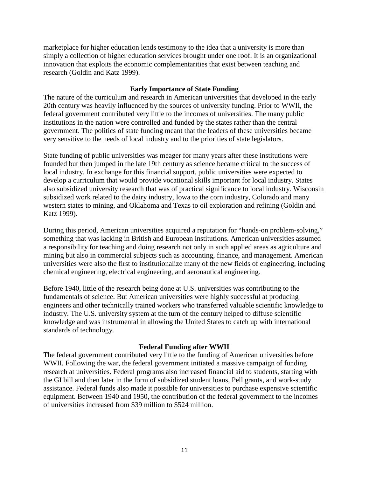marketplace for higher education lends testimony to the idea that a university is more than simply a collection of higher education services brought under one roof. It is an organizational innovation that exploits the economic complementarities that exist between teaching and research (Goldin and Katz 1999).

## **Early Importance of State Funding**

The nature of the curriculum and research in American universities that developed in the early 20th century was heavily influenced by the sources of university funding. Prior to WWII, the federal government contributed very little to the incomes of universities. The many public institutions in the nation were controlled and funded by the states rather than the central government. The politics of state funding meant that the leaders of these universities became very sensitive to the needs of local industry and to the priorities of state legislators.

State funding of public universities was meager for many years after these institutions were founded but then jumped in the late 19th century as science became critical to the success of local industry. In exchange for this financial support, public universities were expected to develop a curriculum that would provide vocational skills important for local industry. States also subsidized university research that was of practical significance to local industry. Wisconsin subsidized work related to the dairy industry, Iowa to the corn industry, Colorado and many western states to mining, and Oklahoma and Texas to oil exploration and refining (Goldin and Katz 1999).

During this period, American universities acquired a reputation for "hands-on problem-solving," something that was lacking in British and European institutions. American universities assumed a responsibility for teaching and doing research not only in such applied areas as agriculture and mining but also in commercial subjects such as accounting, finance, and management. American universities were also the first to institutionalize many of the new fields of engineering, including chemical engineering, electrical engineering, and aeronautical engineering.

Before 1940, little of the research being done at U.S. universities was contributing to the fundamentals of science. But American universities were highly successful at producing engineers and other technically trained workers who transferred valuable scientific knowledge to industry. The U.S. university system at the turn of the century helped to diffuse scientific knowledge and was instrumental in allowing the United States to catch up with international standards of technology.

#### **Federal Funding after WWII**

The federal government contributed very little to the funding of American universities before WWII. Following the war, the federal government initiated a massive campaign of funding research at universities. Federal programs also increased financial aid to students, starting with the GI bill and then later in the form of subsidized student loans, Pell grants, and work-study assistance. Federal funds also made it possible for universities to purchase expensive scientific equipment. Between 1940 and 1950, the contribution of the federal government to the incomes of universities increased from \$39 million to \$524 million.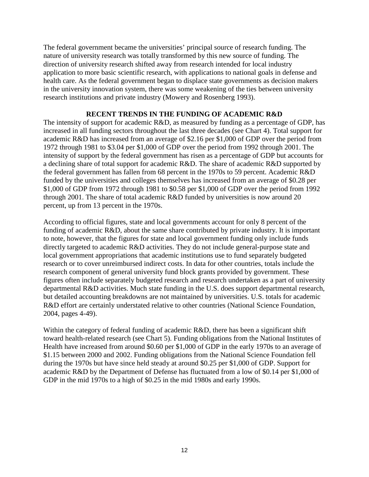The federal government became the universities' principal source of research funding. The nature of university research was totally transformed by this new source of funding. The direction of university research shifted away from research intended for local industry application to more basic scientific research, with applications to national goals in defense and health care. As the federal government began to displace state governments as decision makers in the university innovation system, there was some weakening of the ties between university research institutions and private industry (Mowery and Rosenberg 1993).

## **RECENT TRENDS IN THE FUNDING OF ACADEMIC R&D**

The intensity of support for academic R&D, as measured by funding as a percentage of GDP, has increased in all funding sectors throughout the last three decades (see Chart 4). Total support for academic R&D has increased from an average of \$2.16 per \$1,000 of GDP over the period from 1972 through 1981 to \$3.04 per \$1,000 of GDP over the period from 1992 through 2001. The intensity of support by the federal government has risen as a percentage of GDP but accounts for a declining share of total support for academic R&D. The share of academic R&D supported by the federal government has fallen from 68 percent in the 1970s to 59 percent. Academic R&D funded by the universities and colleges themselves has increased from an average of \$0.28 per \$1,000 of GDP from 1972 through 1981 to \$0.58 per \$1,000 of GDP over the period from 1992 through 2001. The share of total academic R&D funded by universities is now around 20 percent, up from 13 percent in the 1970s.

According to official figures, state and local governments account for only 8 percent of the funding of academic R&D, about the same share contributed by private industry. It is important to note, however, that the figures for state and local government funding only include funds directly targeted to academic R&D activities. They do not include general-purpose state and local government appropriations that academic institutions use to fund separately budgeted research or to cover unreimbursed indirect costs. In data for other countries, totals include the research component of general university fund block grants provided by government. These figures often include separately budgeted research and research undertaken as a part of university departmental R&D activities. Much state funding in the U.S. does support departmental research, but detailed accounting breakdowns are not maintained by universities. U.S. totals for academic R&D effort are certainly understated relative to other countries (National Science Foundation, 2004, pages 4-49).

Within the category of federal funding of academic R&D, there has been a significant shift toward health-related research (see Chart 5). Funding obligations from the National Institutes of Health have increased from around \$0.60 per \$1,000 of GDP in the early 1970s to an average of \$1.15 between 2000 and 2002. Funding obligations from the National Science Foundation fell during the 1970s but have since held steady at around \$0.25 per \$1,000 of GDP. Support for academic R&D by the Department of Defense has fluctuated from a low of \$0.14 per \$1,000 of GDP in the mid 1970s to a high of \$0.25 in the mid 1980s and early 1990s.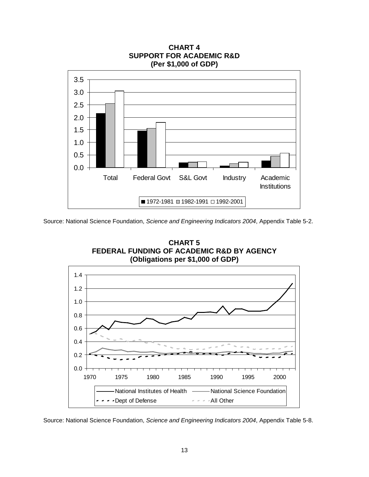

**CHART 4**

Source: National Science Foundation, *Science and Engineering Indicators 2004*, Appendix Table 5-2.



Source: National Science Foundation, *Science and Engineering Indicators 2004*, Appendix Table 5-8.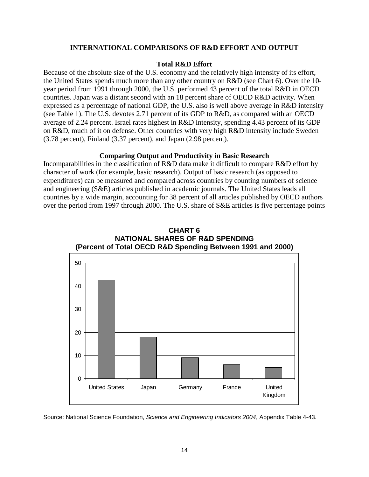#### **INTERNATIONAL COMPARISONS OF R&D EFFORT AND OUTPUT**

#### **Total R&D Effort**

Because of the absolute size of the U.S. economy and the relatively high intensity of its effort, the United States spends much more than any other country on R&D (see Chart 6). Over the 10 year period from 1991 through 2000, the U.S. performed 43 percent of the total R&D in OECD countries. Japan was a distant second with an 18 percent share of OECD R&D activity. When expressed as a percentage of national GDP, the U.S. also is well above average in R&D intensity (see Table 1). The U.S. devotes 2.71 percent of its GDP to R&D, as compared with an OECD average of 2.24 percent. Israel rates highest in R&D intensity, spending 4.43 percent of its GDP on R&D, much of it on defense. Other countries with very high R&D intensity include Sweden (3.78 percent), Finland (3.37 percent), and Japan (2.98 percent).

#### **Comparing Output and Productivity in Basic Research**

Incomparabilities in the classification of R&D data make it difficult to compare R&D effort by character of work (for example, basic research). Output of basic research (as opposed to expenditures) can be measured and compared across countries by counting numbers of science and engineering (S&E) articles published in academic journals. The United States leads all countries by a wide margin, accounting for 38 percent of all articles published by OECD authors over the period from 1997 through 2000. The U.S. share of S&E articles is five percentage points

**CHART 6**



Source: National Science Foundation, *Science and Engineering Indicators 2004*, Appendix Table 4-43.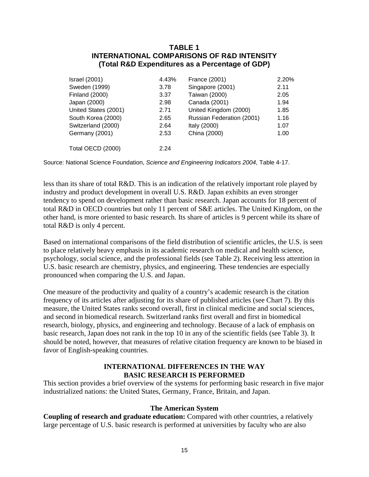## **TABLE 1 INTERNATIONAL COMPARISONS OF R&D INTENSITY (Total R&D Expenditures as a Percentage of GDP)**

| <b>Israel</b> (2001) | 4.43% | France (2001)             | 2.20% |
|----------------------|-------|---------------------------|-------|
| Sweden (1999)        | 3.78  | Singapore (2001)          | 2.11  |
| Finland (2000)       | 3.37  | Taiwan (2000)             | 2.05  |
| Japan (2000)         | 2.98  | Canada (2001)             | 1.94  |
| United States (2001) | 2.71  | United Kingdom (2000)     | 1.85  |
| South Korea (2000)   | 2.65  | Russian Federation (2001) | 1.16  |
| Switzerland (2000)   | 2.64  | Italy (2000)              | 1.07  |
| Germany (2001)       | 2.53  | China (2000)              | 1.00  |
| Total OECD (2000)    | 2.24  |                           |       |
|                      |       |                           |       |

Source: National Science Foundation, *Science and Engineering Indicators 2004*, Table 4-17.

less than its share of total R&D. This is an indication of the relatively important role played by industry and product development in overall U.S. R&D. Japan exhibits an even stronger tendency to spend on development rather than basic research. Japan accounts for 18 percent of total R&D in OECD countries but only 11 percent of S&E articles. The United Kingdom, on the other hand, is more oriented to basic research. Its share of articles is 9 percent while its share of total R&D is only 4 percent.

Based on international comparisons of the field distribution of scientific articles, the U.S. is seen to place relatively heavy emphasis in its academic research on medical and health science, psychology, social science, and the professional fields (see Table 2). Receiving less attention in U.S. basic research are chemistry, physics, and engineering. These tendencies are especially pronounced when comparing the U.S. and Japan.

One measure of the productivity and quality of a country's academic research is the citation frequency of its articles after adjusting for its share of published articles (see Chart 7). By this measure, the United States ranks second overall, first in clinical medicine and social sciences, and second in biomedical research. Switzerland ranks first overall and first in biomedical research, biology, physics, and engineering and technology. Because of a lack of emphasis on basic research, Japan does not rank in the top 10 in any of the scientific fields (see Table 3). It should be noted, however, that measures of relative citation frequency are known to be biased in favor of English-speaking countries.

## **INTERNATIONAL DIFFERENCES IN THE WAY BASIC RESEARCH IS PERFORMED**

This section provides a brief overview of the systems for performing basic research in five major industrialized nations: the United States, Germany, France, Britain, and Japan.

## **The American System**

**Coupling of research and graduate education:** Compared with other countries, a relatively large percentage of U.S. basic research is performed at universities by faculty who are also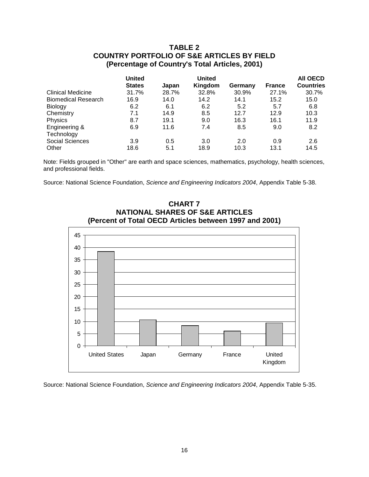## **TABLE 2 COUNTRY PORTFOLIO OF S&E ARTICLES BY FIELD (Percentage of Country's Total Articles, 2001)**

|                            | <b>United</b> |       | <b>United</b> |         |               | <b>AII OECD</b>  |
|----------------------------|---------------|-------|---------------|---------|---------------|------------------|
|                            | <b>States</b> | Japan | Kingdom       | Germany | <b>France</b> | <b>Countries</b> |
| <b>Clinical Medicine</b>   | 31.7%         | 28.7% | 32.8%         | 30.9%   | 27.1%         | 30.7%            |
| <b>Biomedical Research</b> | 16.9          | 14.0  | 14.2          | 14.1    | 15.2          | 15.0             |
| <b>Biology</b>             | 6.2           | 6.1   | 6.2           | 5.2     | 5.7           | 6.8              |
| Chemistry                  | 7.1           | 14.9  | 8.5           | 12.7    | 12.9          | 10.3             |
| Physics                    | 8.7           | 19.1  | 9.0           | 16.3    | 16.1          | 11.9             |
| Engineering &              | 6.9           | 11.6  | 7.4           | 8.5     | 9.0           | 8.2              |
| Technology                 |               |       |               |         |               |                  |
| <b>Social Sciences</b>     | 3.9           | 0.5   | 3.0           | 2.0     | 0.9           | 2.6              |
| Other                      | 18.6          | 5.1   | 18.9          | 10.3    | 13.1          | 14.5             |

Note: Fields grouped in "Other" are earth and space sciences, mathematics, psychology, health sciences, and professional fields.

Source: National Science Foundation, *Science and Engineering Indicators 2004*, Appendix Table 5-38.





**CHART 7**

Source: National Science Foundation, *Science and Engineering Indicators 2004*, Appendix Table 5-35.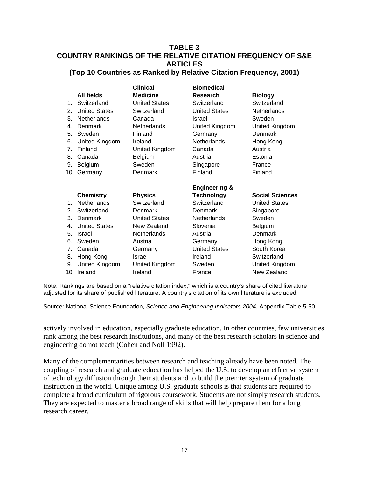## **TABLE 3 COUNTRY RANKINGS OF THE RELATIVE CITATION FREQUENCY OF S&E ARTICLES (Top 10 Countries as Ranked by Relative Citation Frequency, 2001)**

|                |                      | <b>Clinical</b>      | <b>Biomedical</b>        |                        |
|----------------|----------------------|----------------------|--------------------------|------------------------|
|                | <b>All fields</b>    | <b>Medicine</b>      | Research                 | <b>Biology</b>         |
| $1_{-}$        | Switzerland          | <b>United States</b> | Switzerland              | Switzerland            |
| 2.             | <b>United States</b> | Switzerland          | <b>United States</b>     | Netherlands            |
| 3.             | <b>Netherlands</b>   | Canada               | Israel                   | Sweden                 |
| 4.             | Denmark              | <b>Netherlands</b>   | United Kingdom           | United Kingdom         |
| 5.             | Sweden               | Finland              | Germany                  | <b>Denmark</b>         |
| 6.             | United Kingdom       | Ireland              | <b>Netherlands</b>       | Hong Kong              |
| 7.             | Finland              | United Kingdom       | Canada                   | Austria                |
| 8.             | Canada               | Belgium              | Austria                  | Estonia                |
| 9.             | <b>Belgium</b>       | Sweden               | Singapore                | France                 |
|                | 10. Germany          | Denmark              | Finland                  | Finland                |
|                |                      |                      |                          |                        |
|                |                      |                      | <b>Engineering &amp;</b> |                        |
|                | <b>Chemistry</b>     | <b>Physics</b>       | <b>Technology</b>        | <b>Social Sciences</b> |
| $\mathbf{1}$ . | <b>Netherlands</b>   | Switzerland          | Switzerland              | <b>United States</b>   |
| 2.             | Switzerland          | Denmark              | Denmark                  | Singapore              |
| 3.             | Denmark              | <b>United States</b> | <b>Netherlands</b>       | Sweden                 |
| 4.             | <b>United States</b> | New Zealand          | Slovenia                 | Belgium                |
| 5.             | Israel               | <b>Netherlands</b>   | Austria                  | Denmark                |
| 6.             | Sweden               | Austria              | Germany                  | Hong Kong              |
| 7.             | Canada               | Germany              | <b>United States</b>     | South Korea            |
| 8.             | Hong Kong            | Israel               | Ireland                  | Switzerland            |
| 9.             | United Kingdom       | United Kingdom       | Sweden                   | United Kingdom         |

Note: Rankings are based on a "relative citation index," which is a country's share of cited literature adjusted for its share of published literature. A country's citation of its own literature is excluded.

Source: National Science Foundation, *Science and Engineering Indicators 2004*, Appendix Table 5-50.

actively involved in education, especially graduate education. In other countries, few universities rank among the best research institutions, and many of the best research scholars in science and engineering do not teach (Cohen and Noll 1992).

Many of the complementarities between research and teaching already have been noted. The coupling of research and graduate education has helped the U.S. to develop an effective system of technology diffusion through their students and to build the premier system of graduate instruction in the world. Unique among U.S. graduate schools is that students are required to complete a broad curriculum of rigorous coursework. Students are not simply research students. They are expected to master a broad range of skills that will help prepare them for a long research career.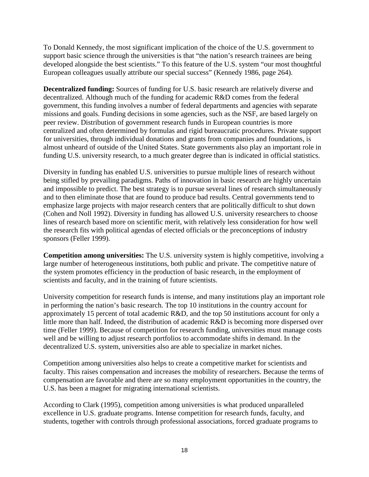To Donald Kennedy, the most significant implication of the choice of the U.S. government to support basic science through the universities is that "the nation's research trainees are being developed alongside the best scientists." To this feature of the U.S. system "our most thoughtful European colleagues usually attribute our special success" (Kennedy 1986, page 264).

**Decentralized funding:** Sources of funding for U.S. basic research are relatively diverse and decentralized. Although much of the funding for academic R&D comes from the federal government, this funding involves a number of federal departments and agencies with separate missions and goals. Funding decisions in some agencies, such as the NSF, are based largely on peer review. Distribution of government research funds in European countries is more centralized and often determined by formulas and rigid bureaucratic procedures. Private support for universities, through individual donations and grants from companies and foundations, is almost unheard of outside of the United States. State governments also play an important role in funding U.S. university research, to a much greater degree than is indicated in official statistics.

Diversity in funding has enabled U.S. universities to pursue multiple lines of research without being stifled by prevailing paradigms. Paths of innovation in basic research are highly uncertain and impossible to predict. The best strategy is to pursue several lines of research simultaneously and to then eliminate those that are found to produce bad results. Central governments tend to emphasize large projects with major research centers that are politically difficult to shut down (Cohen and Noll 1992). Diversity in funding has allowed U.S. university researchers to choose lines of research based more on scientific merit, with relatively less consideration for how well the research fits with political agendas of elected officials or the preconceptions of industry sponsors (Feller 1999).

**Competition among universities:** The U.S. university system is highly competitive, involving a large number of heterogeneous institutions, both public and private. The competitive nature of the system promotes efficiency in the production of basic research, in the employment of scientists and faculty, and in the training of future scientists.

University competition for research funds is intense, and many institutions play an important role in performing the nation's basic research. The top 10 institutions in the country account for approximately 15 percent of total academic R&D, and the top 50 institutions account for only a little more than half. Indeed, the distribution of academic R&D is becoming more dispersed over time (Feller 1999). Because of competition for research funding, universities must manage costs well and be willing to adjust research portfolios to accommodate shifts in demand. In the decentralized U.S. system, universities also are able to specialize in market niches.

Competition among universities also helps to create a competitive market for scientists and faculty. This raises compensation and increases the mobility of researchers. Because the terms of compensation are favorable and there are so many employment opportunities in the country, the U.S. has been a magnet for migrating international scientists.

According to Clark (1995), competition among universities is what produced unparalleled excellence in U.S. graduate programs. Intense competition for research funds, faculty, and students, together with controls through professional associations, forced graduate programs to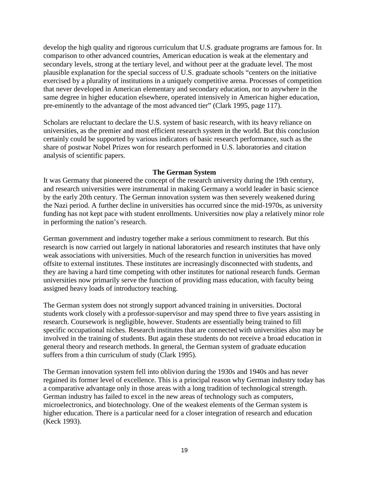develop the high quality and rigorous curriculum that U.S. graduate programs are famous for. In comparison to other advanced countries, American education is weak at the elementary and secondary levels, strong at the tertiary level, and without peer at the graduate level. The most plausible explanation for the special success of U.S. graduate schools "centers on the initiative exercised by a plurality of institutions in a uniquely competitive arena. Processes of competition that never developed in American elementary and secondary education, nor to anywhere in the same degree in higher education elsewhere, operated intensively in American higher education, pre-eminently to the advantage of the most advanced tier" (Clark 1995, page 117).

Scholars are reluctant to declare the U.S. system of basic research, with its heavy reliance on universities, as the premier and most efficient research system in the world. But this conclusion certainly could be supported by various indicators of basic research performance, such as the share of postwar Nobel Prizes won for research performed in U.S. laboratories and citation analysis of scientific papers.

#### **The German System**

It was Germany that pioneered the concept of the research university during the 19th century, and research universities were instrumental in making Germany a world leader in basic science by the early 20th century. The German innovation system was then severely weakened during the Nazi period. A further decline in universities has occurred since the mid-1970s, as university funding has not kept pace with student enrollments. Universities now play a relatively minor role in performing the nation's research.

German government and industry together make a serious commitment to research. But this research is now carried out largely in national laboratories and research institutes that have only weak associations with universities. Much of the research function in universities has moved offsite to external institutes. These institutes are increasingly disconnected with students, and they are having a hard time competing with other institutes for national research funds. German universities now primarily serve the function of providing mass education, with faculty being assigned heavy loads of introductory teaching.

The German system does not strongly support advanced training in universities. Doctoral students work closely with a professor-supervisor and may spend three to five years assisting in research. Coursework is negligible, however. Students are essentially being trained to fill specific occupational niches. Research institutes that are connected with universities also may be involved in the training of students. But again these students do not receive a broad education in general theory and research methods. In general, the German system of graduate education suffers from a thin curriculum of study (Clark 1995).

The German innovation system fell into oblivion during the 1930s and 1940s and has never regained its former level of excellence. This is a principal reason why German industry today has a comparative advantage only in those areas with a long tradition of technological strength. German industry has failed to excel in the new areas of technology such as computers, microelectronics, and biotechnology. One of the weakest elements of the German system is higher education. There is a particular need for a closer integration of research and education (Keck 1993).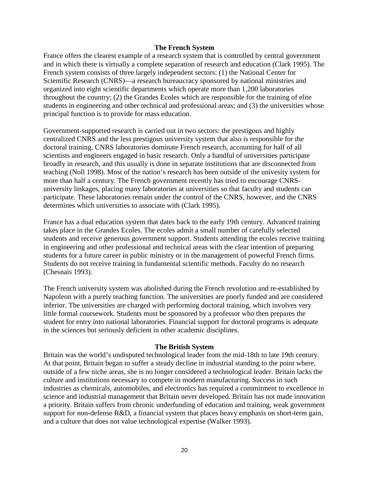#### **The French System**

France offers the clearest example of a research system that is controlled by central government and in which there is virtually a complete separation of research and education (Clark 1995). The French system consists of three largely independent sectors: (1) the National Center for Scientific Research (CNRS)—a research bureaucracy sponsored by national ministries and organized into eight scientific departments which operate more than 1,200 laboratories throughout the country; (2) the Grandes Ecoles which are responsible for the training of elite students in engineering and other technical and professional areas; and (3) the universities whose principal function is to provide for mass education.

Government-supported research is carried out in two sectors: the prestigous and highly centralized CNRS and the less prestigous university system that also is responsible for the doctoral training. CNRS laboratories dominate French research, accounting for half of all scientists and engineers engaged in basic research. Only a handful of universities participate broadly in research, and this usually is done in separate institutions that are disconnected from teaching (Noll 1998). Most of the nation's research has been outside of the univesity system for more than half a century. The French government recently has tried to encourage CNRSuniversity linkages, placing many laboratories at universities so that faculty and students can participate. These laboratories remain under the control of the CNRS, however, and the CNRS determines which universities to associate with (Clark 1995).

France has a dual education system that dates back to the early 19th century. Advanced training takes place in the Grandes Ecoles. The ecoles admit a small number of carefully selected students and receive generous government support. Students attending the ecoles receive training in engineering and other professional and technical areas with the clear intention of preparing students for a future career in public ministry or in the management of powerful French firms. Students do not receive training in fundamental scientific methods. Faculty do no research (Chesnais 1993).

The French university system was abolished during the French revolution and re-established by Napoleon with a purely teaching function. The universities are poorly funded and are considered inferior. The universities are charged with performing doctoral training, which involves very little formal coursework. Students must be sponsored by a professor who then prepares the student for entry into national laboratories. Financial support for doctoral programs is adequate in the sciences but seriously deficient in other academic disciplines.

## **The British System**

Britain was the world's undisputed technological leader from the mid-18th to late 19th century. At that point, Britain began to suffer a steady decline in industrial standing to the point where, outside of a few niche areas, she is no longer considered a technological leader. Britain lacks the culture and institutions necessary to compete in modern manufacturing. Success in such industries as chemicals, automobiles, and electronics has required a commitment to excellence in science and industrial management that Britain never developed. Britain has not made innovation a priority. Britain suffers from chronic underfunding of education and training, weak government support for non-defense R&D, a financial system that places heavy emphasis on short-term gain, and a culture that does not value technological expertise (Walker 1993).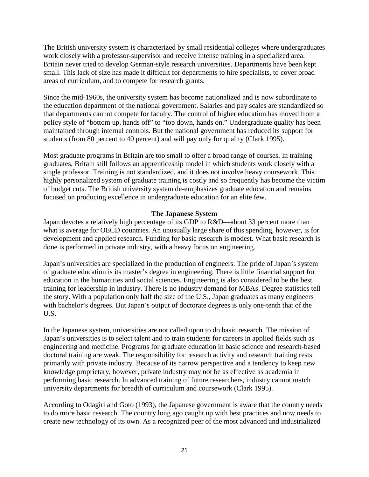The British university system is characterized by small residential colleges where undergraduates work closely with a professor-supervisor and receive intense training in a specialized area. Britain never tried to develop German-style research universities. Departments have been kept small. This lack of size has made it difficult for departments to hire specialists, to cover broad areas of curriculum, and to compete for research grants.

Since the mid-1960s, the university system has become nationalized and is now subordinate to the education department of the national government. Salaries and pay scales are standardized so that departments cannot compete for faculty. The control of higher education has moved from a policy style of "bottom up, hands off" to "top down, hands on." Undergraduate quality has been maintained through internal controls. But the national government has reduced its support for students (from 80 percent to 40 percent) and will pay only for quality (Clark 1995).

Most graduate programs in Britain are too small to offer a broad range of courses. In training graduates, Britain still follows an apprenticeship model in which students work closely with a single professor. Training is not standardized, and it does not involve heavy coursework. This highly personalized system of graduate training is costly and so frequently has become the victim of budget cuts. The British university system de-emphasizes graduate education and remains focused on producing excellence in undergraduate education for an elite few.

## **The Japanese System**

Japan devotes a relatively high percentage of its GDP to R&D—about 33 percent more than what is average for OECD countries. An unusually large share of this spending, however, is for development and applied research. Funding for basic research is modest. What basic research is done is performed in private industry, with a heavy focus on engineering.

Japan's universities are specialized in the production of engineers. The pride of Japan's system of graduate education is its master's degree in engineering. There is little financial support for education in the humanities and social sciences. Engineering is also considered to be the best training for leadership in industry. There is no industry demand for MBAs. Degree statistics tell the story. With a population only half the size of the U.S., Japan graduates as many engineers with bachelor's degrees. But Japan's output of doctorate degrees is only one-tenth that of the U.S.

In the Japanese system, universities are not called upon to do basic research. The mission of Japan's universities is to select talent and to train students for careers in applied fields such as engineering and medicine. Programs for graduate education in basic science and research-based doctoral training are weak. The responsibility for research activity and research training rests primarily with private industry. Because of its narrow perspective and a tendency to keep new knowledge proprietary, however, private industry may not be as effective as academia in performing basic research. In advanced training of future researchers, industry cannot match university departments for breadth of curriculum and coursework (Clark 1995).

According to Odagiri and Goto (1993), the Japanese government is aware that the country needs to do more basic research. The country long ago caught up with best practices and now needs to create new technology of its own. As a recognized peer of the most advanced and industrialized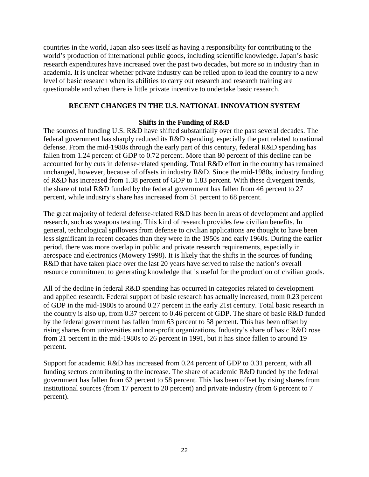countries in the world, Japan also sees itself as having a responsibility for contributing to the world's production of international public goods, including scientific knowledge. Japan's basic research expenditures have increased over the past two decades, but more so in industry than in academia. It is unclear whether private industry can be relied upon to lead the country to a new level of basic research when its abilities to carry out research and research training are questionable and when there is little private incentive to undertake basic research.

## **RECENT CHANGES IN THE U.S. NATIONAL INNOVATION SYSTEM**

## **Shifts in the Funding of R&D**

The sources of funding U.S. R&D have shifted substantially over the past several decades. The federal government has sharply reduced its R&D spending, especially the part related to national defense. From the mid-1980s through the early part of this century, federal R&D spending has fallen from 1.24 percent of GDP to 0.72 percent. More than 80 percent of this decline can be accounted for by cuts in defense-related spending. Total R&D effort in the country has remained unchanged, however, because of offsets in industry R&D. Since the mid-1980s, industry funding of R&D has increased from 1.38 percent of GDP to 1.83 percent. With these divergent trends, the share of total R&D funded by the federal government has fallen from 46 percent to 27 percent, while industry's share has increased from 51 percent to 68 percent.

The great majority of federal defense-related R&D has been in areas of development and applied research, such as weapons testing. This kind of research provides few civilian benefits. In general, technological spillovers from defense to civilian applications are thought to have been less significant in recent decades than they were in the 1950s and early 1960s. During the earlier period, there was more overlap in public and private research requirements, especially in aerospace and electronics (Mowery 1998). It is likely that the shifts in the sources of funding R&D that have taken place over the last 20 years have served to raise the nation's overall resource commitment to generating knowledge that is useful for the production of civilian goods.

All of the decline in federal R&D spending has occurred in categories related to development and applied research. Federal support of basic research has actually increased, from 0.23 percent of GDP in the mid-1980s to around 0.27 percent in the early 21st century. Total basic research in the country is also up, from 0.37 percent to 0.46 percent of GDP. The share of basic R&D funded by the federal government has fallen from 63 percent to 58 percent. This has been offset by rising shares from universities and non-profit organizations. Industry's share of basic R&D rose from 21 percent in the mid-1980s to 26 percent in 1991, but it has since fallen to around 19 percent.

Support for academic R&D has increased from 0.24 percent of GDP to 0.31 percent, with all funding sectors contributing to the increase. The share of academic R&D funded by the federal government has fallen from 62 percent to 58 percent. This has been offset by rising shares from institutional sources (from 17 percent to 20 percent) and private industry (from 6 percent to 7 percent).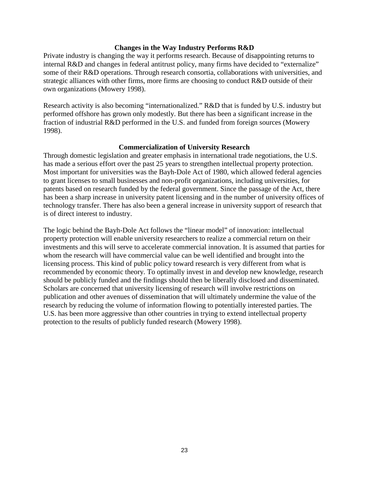#### **Changes in the Way Industry Performs R&D**

Private industry is changing the way it performs research. Because of disappointing returns to internal R&D and changes in federal antitrust policy, many firms have decided to "externalize" some of their R&D operations. Through research consortia, collaborations with universities, and strategic alliances with other firms, more firms are choosing to conduct R&D outside of their own organizations (Mowery 1998).

Research activity is also becoming "internationalized." R&D that is funded by U.S. industry but performed offshore has grown only modestly. But there has been a significant increase in the fraction of industrial R&D performed in the U.S. and funded from foreign sources (Mowery 1998).

#### **Commercialization of University Research**

Through domestic legislation and greater emphasis in international trade negotiations, the U.S. has made a serious effort over the past 25 years to strengthen intellectual property protection. Most important for universities was the Bayh-Dole Act of 1980, which allowed federal agencies to grant licenses to small businesses and non-profit organizations, including universities, for patents based on research funded by the federal government. Since the passage of the Act, there has been a sharp increase in university patent licensing and in the number of university offices of technology transfer. There has also been a general increase in university support of research that is of direct interest to industry.

The logic behind the Bayh-Dole Act follows the "linear model" of innovation: intellectual property protection will enable university researchers to realize a commercial return on their investments and this will serve to accelerate commercial innovation. It is assumed that parties for whom the research will have commercial value can be well identified and brought into the licensing process. This kind of public policy toward research is very different from what is recommended by economic theory. To optimally invest in and develop new knowledge, research should be publicly funded and the findings should then be liberally disclosed and disseminated. Scholars are concerned that university licensing of research will involve restrictions on publication and other avenues of dissemination that will ultimately undermine the value of the research by reducing the volume of information flowing to potentially interested parties. The U.S. has been more aggressive than other countries in trying to extend intellectual property protection to the results of publicly funded research (Mowery 1998).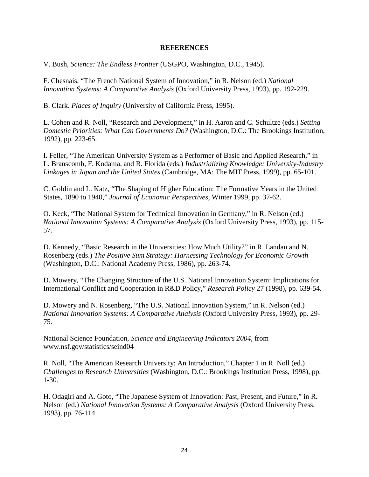#### **REFERENCES**

V. Bush, *Science: The Endless Frontier* (USGPO, Washington, D.C., 1945).

F. Chesnais, "The French National System of Innovation," in R. Nelson (ed.) *National Innovation Systems: A Comparative Analysis* (Oxford University Press, 1993), pp. 192-229.

B. Clark. *Places of Inquiry* (University of California Press, 1995).

L. Cohen and R. Noll, "Research and Development," in H. Aaron and C. Schultze (eds.) *Setting Domestic Priorities: What Can Governments Do?* (Washington, D.C.: The Brookings Institution, 1992), pp. 223-65.

I. Feller, "The American University System as a Performer of Basic and Applied Research," in L. Branscomb, F. Kodama, and R. Florida (eds.) *Industrializing Knowledge: University-Industry Linkages in Japan and the United States* (Cambridge, MA: The MIT Press, 1999), pp. 65-101.

C. Goldin and L. Katz, "The Shaping of Higher Education: The Formative Years in the United States, 1890 to 1940," *Journal of Economic Perspectives*, Winter 1999, pp. 37-62.

O. Keck, "The National System for Technical Innovation in Germany," in R. Nelson (ed.) *National Innovation Systems: A Comparative Analysis* (Oxford University Press, 1993), pp. 115- 57.

D. Kennedy, "Basic Research in the Universities: How Much Utility?" in R. Landau and N. Rosenberg (eds.) *The Positive Sum Strategy: Harnessing Technology for Economic Growth*  (Washington, D.C.: National Academy Press, 1986), pp. 263-74.

D. Mowery, "The Changing Structure of the U.S. National Innovation System: Implications for International Conflict and Cooperation in R&D Policy," *Research Policy* 27 (1998), pp. 639-54.

D. Mowery and N. Rosenberg, "The U.S. National Innovation System," in R. Nelson (ed.) *National Innovation Systems: A Comparative Analysis* (Oxford University Press, 1993), pp. 29- 75.

National Science Foundation, *Science and Engineering Indicators 2004*, from www.nsf.gov/statistics/seind04

R. Noll, "The American Research University: An Introduction," Chapter 1 in R. Noll (ed.) *Challenges to Research Universities* (Washington, D.C.: Brookings Institution Press, 1998), pp. 1-30.

H. Odagiri and A. Goto, "The Japanese System of Innovation: Past, Present, and Future," in R. Nelson (ed.) *National Innovation Systems: A Comparative Analysis* (Oxford University Press, 1993), pp. 76-114.